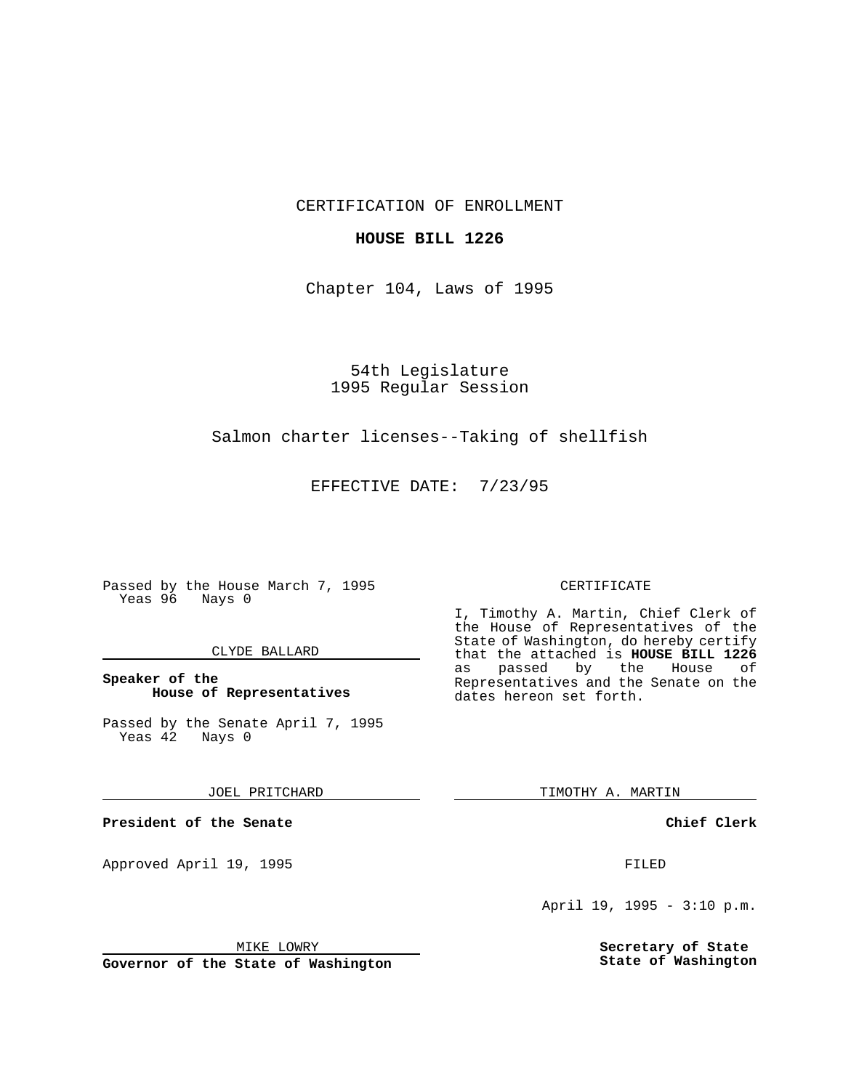CERTIFICATION OF ENROLLMENT

## **HOUSE BILL 1226**

Chapter 104, Laws of 1995

54th Legislature 1995 Regular Session

# Salmon charter licenses--Taking of shellfish

EFFECTIVE DATE: 7/23/95

Passed by the House March 7, 1995 Yeas 96 Nays 0

## CLYDE BALLARD

## **Speaker of the House of Representatives**

Passed by the Senate April 7, 1995<br>Yeas 42 Nays 0 Yeas 42

#### JOEL PRITCHARD

**President of the Senate**

Approved April 19, 1995 FILED

#### MIKE LOWRY

**Governor of the State of Washington**

#### CERTIFICATE

I, Timothy A. Martin, Chief Clerk of the House of Representatives of the State of Washington, do hereby certify that the attached is **HOUSE BILL 1226** as passed by the House of Representatives and the Senate on the dates hereon set forth.

TIMOTHY A. MARTIN

## **Chief Clerk**

April 19, 1995 - 3:10 p.m.

**Secretary of State State of Washington**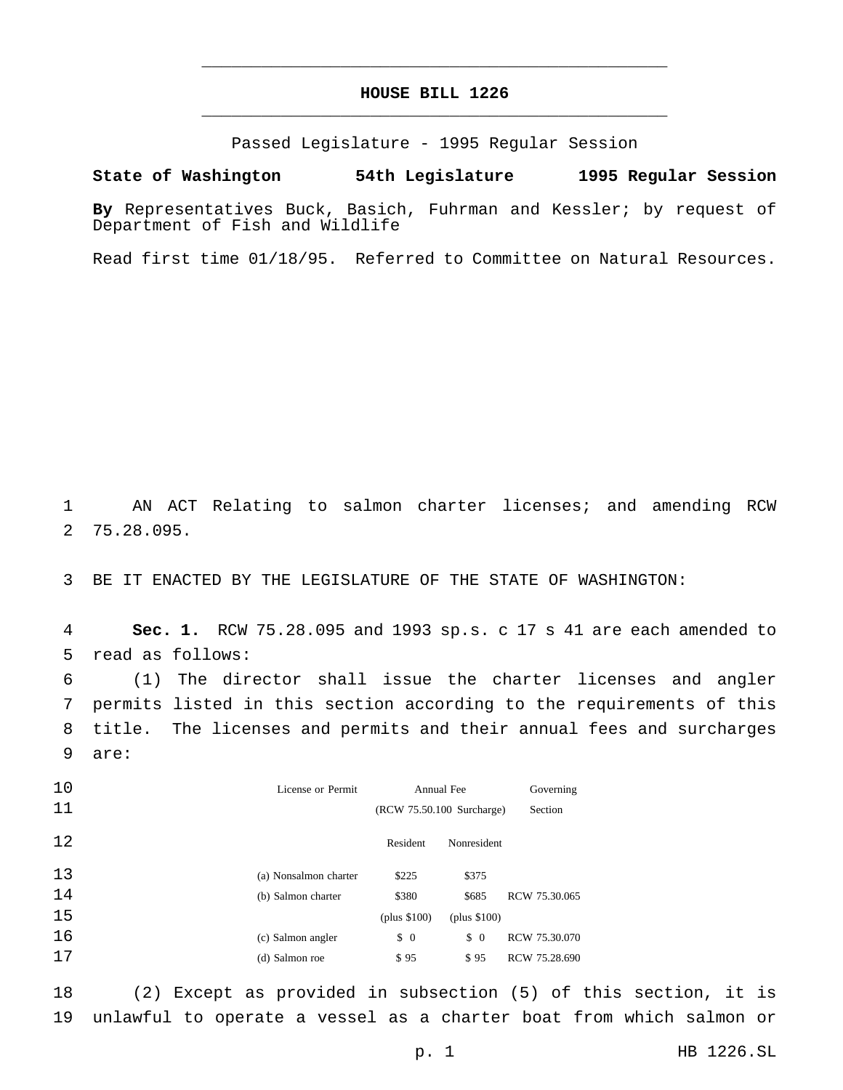# **HOUSE BILL 1226** \_\_\_\_\_\_\_\_\_\_\_\_\_\_\_\_\_\_\_\_\_\_\_\_\_\_\_\_\_\_\_\_\_\_\_\_\_\_\_\_\_\_\_\_\_\_\_

\_\_\_\_\_\_\_\_\_\_\_\_\_\_\_\_\_\_\_\_\_\_\_\_\_\_\_\_\_\_\_\_\_\_\_\_\_\_\_\_\_\_\_\_\_\_\_

Passed Legislature - 1995 Regular Session

# **State of Washington 54th Legislature 1995 Regular Session**

**By** Representatives Buck, Basich, Fuhrman and Kessler; by request of Department of Fish and Wildlife

Read first time 01/18/95. Referred to Committee on Natural Resources.

 AN ACT Relating to salmon charter licenses; and amending RCW 75.28.095.

BE IT ENACTED BY THE LEGISLATURE OF THE STATE OF WASHINGTON:

 **Sec. 1.** RCW 75.28.095 and 1993 sp.s. c 17 s 41 are each amended to read as follows:

 (1) The director shall issue the charter licenses and angler permits listed in this section according to the requirements of this title. The licenses and permits and their annual fees and surcharges are:

| 10 | License or Permit     | Annual Fee                |               | Governing     |
|----|-----------------------|---------------------------|---------------|---------------|
| 11 |                       | (RCW 75.50.100 Surcharge) |               | Section       |
| 12 |                       | Resident                  | Nonresident   |               |
| 13 | (a) Nonsalmon charter | \$225                     | \$375         |               |
| 14 | (b) Salmon charter    | \$380                     | \$685         | RCW 75.30.065 |
| 15 |                       | (plus $$100$ )            | (plus \$100)  |               |
| 16 | (c) Salmon angler     | $\updownarrow$ 0          | $\frac{1}{2}$ | RCW 75.30.070 |
| 17 | (d) Salmon roe        | \$95                      | \$95          | RCW 75.28.690 |

 (2) Except as provided in subsection (5) of this section, it is unlawful to operate a vessel as a charter boat from which salmon or

p. 1 HB 1226.SL